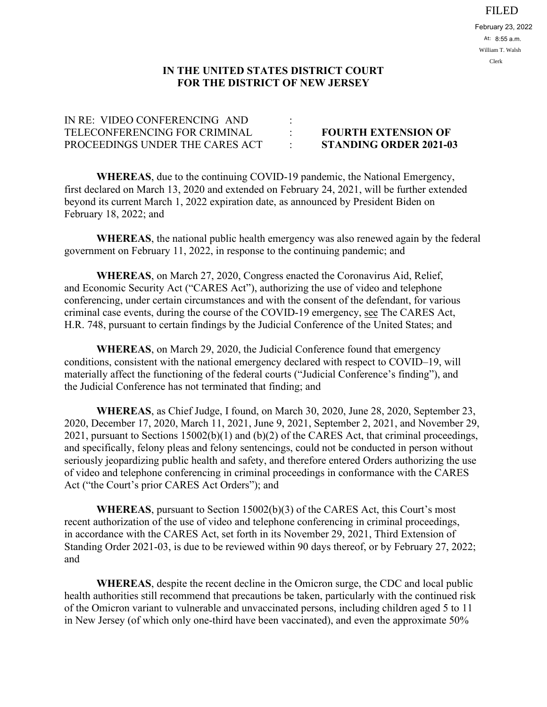## FILED

## **IN THE UNITED STATES DISTRICT COURT FOR THE DISTRICT OF NEW JERSEY**

| IN RE: VIDEO CONFERENCING AND   |                               |
|---------------------------------|-------------------------------|
| TELECONFERENCING FOR CRIMINAL   | <b>FOURTH EXTENSION OF</b>    |
| PROCEEDINGS UNDER THE CARES ACT | <b>STANDING ORDER 2021-03</b> |

**WHEREAS**, due to the continuing COVID-19 pandemic, the National Emergency, first declared on March 13, 2020 and extended on February 24, 2021, will be further extended beyond its current March 1, 2022 expiration date, as announced by President Biden on February 18, 2022; and

**WHEREAS**, the national public health emergency was also renewed again by the federal government on February 11, 2022, in response to the continuing pandemic; and

**WHEREAS**, on March 27, 2020, Congress enacted the Coronavirus Aid, Relief, and Economic Security Act ("CARES Act"), authorizing the use of video and telephone conferencing, under certain circumstances and with the consent of the defendant, for various criminal case events, during the course of the COVID-19 emergency, see The CARES Act, H.R. 748, pursuant to certain findings by the Judicial Conference of the United States; and

**WHEREAS**, on March 29, 2020, the Judicial Conference found that emergency conditions, consistent with the national emergency declared with respect to COVID–19, will materially affect the functioning of the federal courts ("Judicial Conference's finding"), and the Judicial Conference has not terminated that finding; and

**WHEREAS**, as Chief Judge, I found, on March 30, 2020, June 28, 2020, September 23, 2020, December 17, 2020, March 11, 2021, June 9, 2021, September 2, 2021, and November 29, 2021, pursuant to Sections 15002(b)(1) and (b)(2) of the CARES Act, that criminal proceedings, and specifically, felony pleas and felony sentencings, could not be conducted in person without seriously jeopardizing public health and safety, and therefore entered Orders authorizing the use of video and telephone conferencing in criminal proceedings in conformance with the CARES Act ("the Court's prior CARES Act Orders"); and

**WHEREAS**, pursuant to Section 15002(b)(3) of the CARES Act, this Court's most recent authorization of the use of video and telephone conferencing in criminal proceedings, in accordance with the CARES Act, set forth in its November 29, 2021, Third Extension of Standing Order 2021-03, is due to be reviewed within 90 days thereof, or by February 27, 2022; and

**WHEREAS**, despite the recent decline in the Omicron surge, the CDC and local public health authorities still recommend that precautions be taken, particularly with the continued risk of the Omicron variant to vulnerable and unvaccinated persons, including children aged 5 to 11 in New Jersey (of which only one-third have been vaccinated), and even the approximate 50%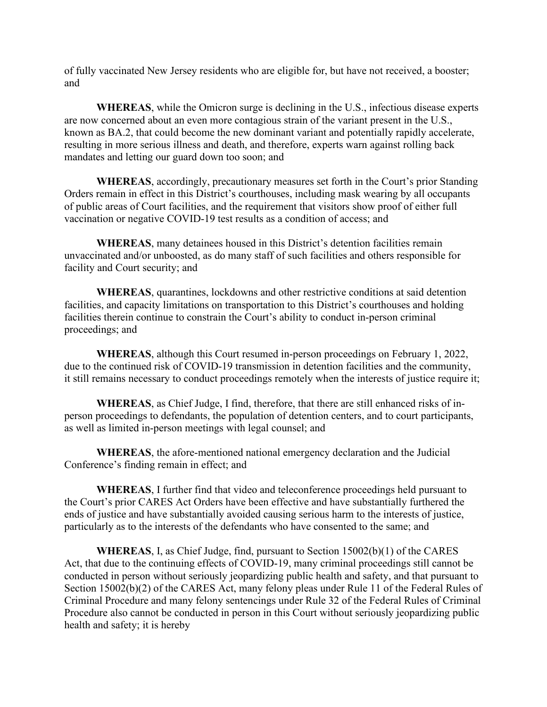of fully vaccinated New Jersey residents who are eligible for, but have not received, a booster; and

**WHEREAS**, while the Omicron surge is declining in the U.S., infectious disease experts are now concerned about an even more contagious strain of the variant present in the U.S., known as BA.2, that could become the new dominant variant and potentially rapidly accelerate, resulting in more serious illness and death, and therefore, experts warn against rolling back mandates and letting our guard down too soon; and

**WHEREAS**, accordingly, precautionary measures set forth in the Court's prior Standing Orders remain in effect in this District's courthouses, including mask wearing by all occupants of public areas of Court facilities, and the requirement that visitors show proof of either full vaccination or negative COVID-19 test results as a condition of access; and

**WHEREAS**, many detainees housed in this District's detention facilities remain unvaccinated and/or unboosted, as do many staff of such facilities and others responsible for facility and Court security; and

**WHEREAS**, quarantines, lockdowns and other restrictive conditions at said detention facilities, and capacity limitations on transportation to this District's courthouses and holding facilities therein continue to constrain the Court's ability to conduct in-person criminal proceedings; and

**WHEREAS**, although this Court resumed in-person proceedings on February 1, 2022, due to the continued risk of COVID-19 transmission in detention facilities and the community, it still remains necessary to conduct proceedings remotely when the interests of justice require it;

**WHEREAS**, as Chief Judge, I find, therefore, that there are still enhanced risks of inperson proceedings to defendants, the population of detention centers, and to court participants, as well as limited in-person meetings with legal counsel; and

**WHEREAS**, the afore-mentioned national emergency declaration and the Judicial Conference's finding remain in effect; and

**WHEREAS**, I further find that video and teleconference proceedings held pursuant to the Court's prior CARES Act Orders have been effective and have substantially furthered the ends of justice and have substantially avoided causing serious harm to the interests of justice, particularly as to the interests of the defendants who have consented to the same; and

**WHEREAS**, I, as Chief Judge, find, pursuant to Section 15002(b)(1) of the CARES Act, that due to the continuing effects of COVID-19, many criminal proceedings still cannot be conducted in person without seriously jeopardizing public health and safety, and that pursuant to Section 15002(b)(2) of the CARES Act, many felony pleas under Rule 11 of the Federal Rules of Criminal Procedure and many felony sentencings under Rule 32 of the Federal Rules of Criminal Procedure also cannot be conducted in person in this Court without seriously jeopardizing public health and safety; it is hereby